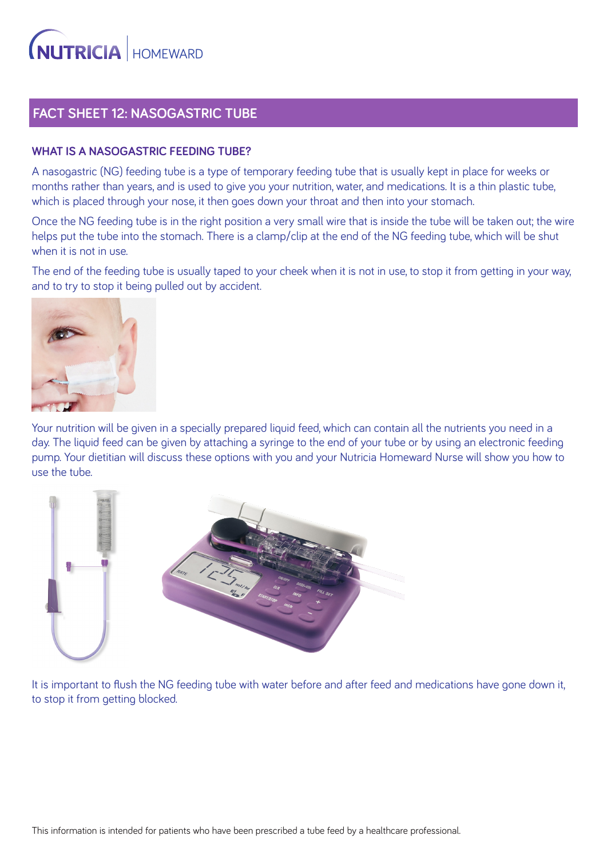### **FACT SHEET 12: NASOGASTRIC TUBE**

#### **WHAT IS A NASOGASTRIC FEEDING TUBE?**

A nasogastric (NG) feeding tube is a type of temporary feeding tube that is usually kept in place for weeks or months rather than years, and is used to give you your nutrition, water, and medications. It is a thin plastic tube, which is placed through your nose, it then goes down your throat and then into your stomach.

Once the NG feeding tube is in the right position a very small wire that is inside the tube will be taken out; the wire helps put the tube into the stomach. There is a clamp/clip at the end of the NG feeding tube, which will be shut when it is not in use.

The end of the feeding tube is usually taped to your cheek when it is not in use, to stop it from getting in your way, and to try to stop it being pulled out by accident.



Your nutrition will be given in a specially prepared liquid feed, which can contain all the nutrients you need in a day. The liquid feed can be given by attaching a syringe to the end of your tube or by using an electronic feeding pump. Your dietitian will discuss these options with you and your Nutricia Homeward Nurse will show you how to use the tube.



It is important to flush the NG feeding tube with water before and after feed and medications have gone down it, to stop it from getting blocked.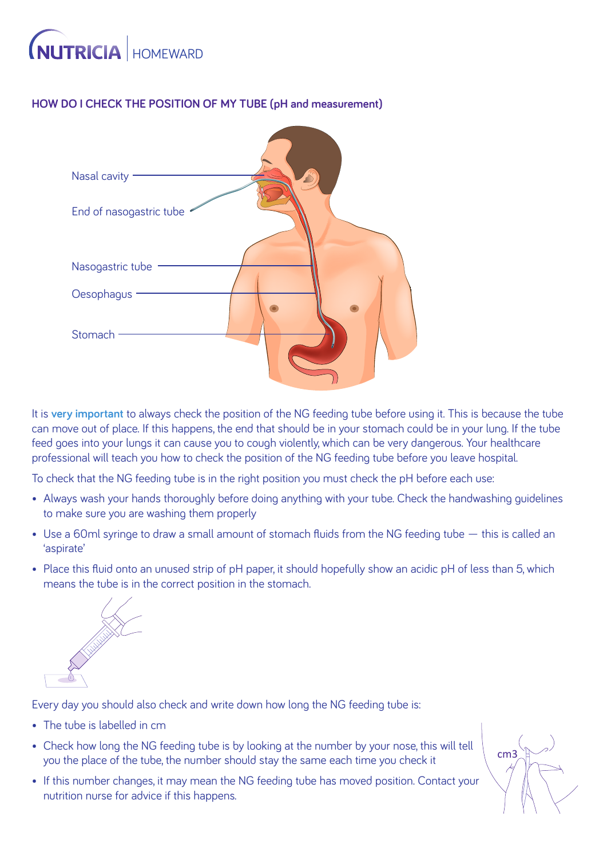## **NUTRICIA HOMEWARD**

### **HOW DO I CHECK THE POSITION OF MY TUBE (pH and measurement)**



It is **very important** to always check the position of the NG feeding tube before using it. This is because the tube can move out of place. If this happens, the end that should be in your stomach could be in your lung. If the tube feed goes into your lungs it can cause you to cough violently, which can be very dangerous. Your healthcare professional will teach you how to check the position of the NG feeding tube before you leave hospital.

To check that the NG feeding tube is in the right position you must check the pH before each use:

- Always wash your hands thoroughly before doing anything with your tube. Check the handwashing guidelines to make sure you are washing them properly
- Use a 60ml syringe to draw a small amount of stomach fluids from the NG feeding tube this is called an 'aspirate'
- Place this fluid onto an unused strip of pH paper, it should hopefully show an acidic pH of less than 5, which means the tube is in the correct position in the stomach.



Every day you should also check and write down how long the NG feeding tube is:

- The tube is labelled in cm
- Check how long the NG feeding tube is by looking at the number by your nose, this will tell you the place of the tube, the number should stay the same each time you check it
- If this number changes, it may mean the NG feeding tube has moved position. Contact your nutrition nurse for advice if this happens.

cm3